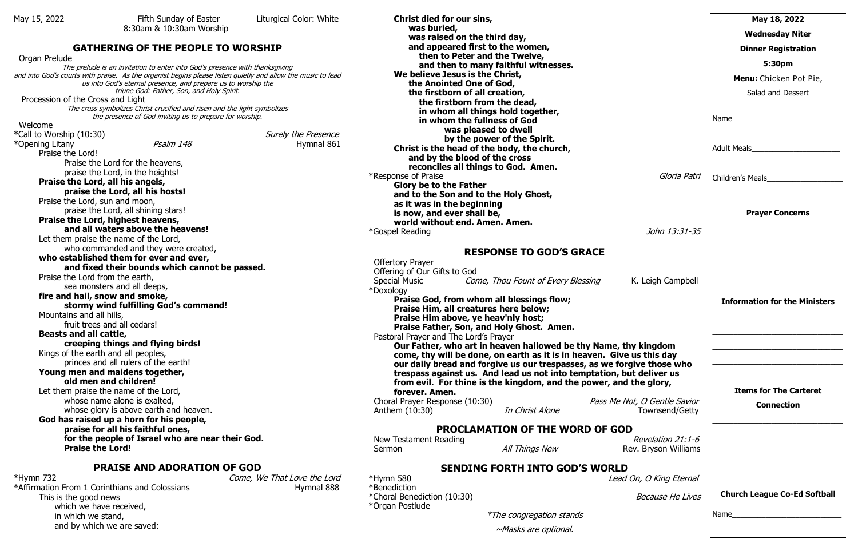### **GATHERING OF THE PEOPLE TO WORSHIP**

 Organ Prelude The prelude is an invitation to enter into God's presence with thanksgiving and into God's courts with praise. As the organist begins please listen quietly and allow the music to lead us into God's eternal presence, and prepare us to worship the triune God: Father, Son, and Holy Spirit. Procession of the Cross and Light The cross symbolizes Christ crucified and risen and the light symbolizes the presence of God inviting us to prepare for worship. Welcome \*Call to Worship (10:30)  $Surely$  the Presence \*Opening Litany **Psalm 148** Hymnal 861 Praise the Lord! Praise the Lord for the heavens, praise the Lord, in the heights! **Praise the Lord, all his angels, praise the Lord, all his hosts!**  Praise the Lord, sun and moon, praise the Lord, all shining stars! **Praise the Lord, highest heavens, and all waters above the heavens!**  Let them praise the name of the Lord, who commanded and they were created, **who established them for ever and ever, and fixed their bounds which cannot be passed.**  Praise the Lord from the earth, sea monsters and all deeps, **fire and hail, snow and smoke, stormy wind fulfilling God's command!**  Mountains and all hills, fruit trees and all cedars! **Beasts and all cattle, creeping things and flying birds!** Kings of the earth and all peoples, princes and all rulers of the earth! **Young men and maidens together, old men and children!**  Let them praise the name of the Lord, whose name alone is exalted, whose glory is above earth and heaven. **God has raised up a horn for his people, praise for all his faithful ones, for the people of Israel who are near their God. Praise the Lord!**

\*Affirmation From 1 Corinthians and Colossians **Example 2018** Hymnal 888 This is the good news which we have received, in which we stand, and by which we are saved:

**Christ died for our sins, was buried, was raised on the third day, and appeared first to the women, then to Peter and the Twelve, and then to many faithful witnesses. We believe Jesus is the Christ, the Anointed One of God, the firstborn of all creation, the firstborn from the dead, in whom all things hold together, in whom the fullness of God was pleased to dwell by the power of the Spirit. Christ is the head of the body, the church, and by the blood of the cross reconciles all things to God. Amen.** \*Response of Praise **Glory be to the Father and to the Son and to the Holy Ghost, as it was in the beginning is now, and ever shall be, world without end. Amen. Amen.** \*Gospel Reading

| <b>Offertory Prayer</b>                                  |                                                                        |                              |
|----------------------------------------------------------|------------------------------------------------------------------------|------------------------------|
| Offering of Our Gifts to God                             |                                                                        |                              |
| Special Music <b>Come</b> , Thou Fount of Every Blessing |                                                                        | K. Leigh Campbell            |
| *Doxology                                                |                                                                        |                              |
|                                                          | <b>Praise God, from whom all blessings flow;</b>                       |                              |
| Praise Him, all creatures here below;                    |                                                                        |                              |
| Praise Him above, ye heav'nly host;                      |                                                                        |                              |
|                                                          | Praise Father, Son, and Holy Ghost. Amen.                              |                              |
| Pastoral Prayer and The Lord's Prayer                    |                                                                        |                              |
|                                                          | Our Father, who art in heaven hallowed be thy Name, thy kingdom        |                              |
|                                                          | come, thy will be done, on earth as it is in heaven. Give us this day  |                              |
|                                                          | our daily bread and forgive us our trespasses, as we forgive those who |                              |
|                                                          | trespass against us. And lead us not into temptation, but deliver us   |                              |
|                                                          |                                                                        |                              |
|                                                          | from evil. For thine is the kingdom, and the power, and the glory,     |                              |
| forever. Amen.                                           |                                                                        |                              |
| Choral Prayer Response (10:30)                           |                                                                        | Pass Me Not, O Gentle Savior |
| Anthem (10:30)                                           | In Christ Alone                                                        | Townsend/Getty               |
|                                                          |                                                                        |                              |
|                                                          | <b>PROCLAMATION OF THE WORD OF GOD</b>                                 |                              |

# **PRAISE AND ADORATION OF GOD**

New Testament Reading

Sermon **All Things New** Re

\*Hymn 732 Come, We That Love the Lord

\*Hymn 580 Lead C \*Benediction \*Choral Benediction (10:30) \*Organ Postlude

#### **RESPONSE TO GOD'S GRACE**

#### **SENDING FORTH INTO GOD'S WORLD**

\*The congregation stands ~Masks are optional.

|                                                            | May 18, 2022                                                               |
|------------------------------------------------------------|----------------------------------------------------------------------------|
|                                                            | <b>Wednesday Niter</b>                                                     |
|                                                            | <b>Dinner Registration</b>                                                 |
|                                                            | 5:30pm                                                                     |
|                                                            | Menu: Chicken Pot Pie,                                                     |
|                                                            | Salad and Dessert                                                          |
|                                                            | Name                                                                       |
|                                                            | Adult Meals                                                                |
| Gloria Patri                                               |                                                                            |
|                                                            | <b>Prayer Concerns</b>                                                     |
| John 13:31-35                                              | the control of the control of the control of the control of the control of |
| K. Leigh Campbell                                          |                                                                            |
|                                                            | <b>Information for the Ministers</b>                                       |
| y kingdom                                                  |                                                                            |
| us this day<br>ive those who<br>t deliver us<br>the glory, | <b>Items for The Carteret</b>                                              |
| <i>nt, O Gentle Savior</i><br>Townsend/Getty               | <b>Connection</b>                                                          |
| Revelation 21:1-6<br>v. Bryson Williams                    |                                                                            |
| On, O King Eternal                                         |                                                                            |
| <b>Because He Lives</b>                                    | <b>Church League Co-Ed Softball</b>                                        |
|                                                            | Name                                                                       |